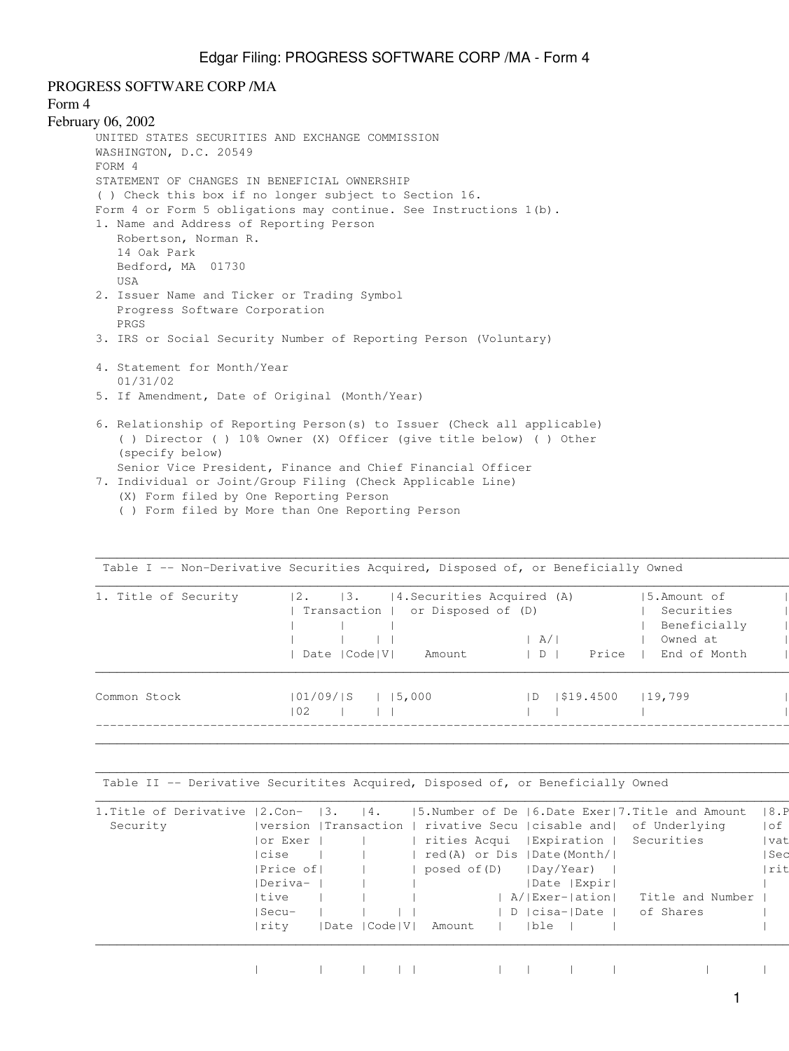PROGRESS SOFTWARE CORP /MA

## Form 4

```
February 06, 2002
UNITED STATES SECURITIES AND EXCHANGE COMMISSION
WASHINGTON, D.C. 20549
FORM 4
STATEMENT OF CHANGES IN BENEFICIAL OWNERSHIP
( ) Check this box if no longer subject to Section 16.
Form 4 or Form 5 obligations may continue. See Instructions 1(b).
1. Name and Address of Reporting Person
    Robertson, Norman R.
    14 Oak Park
    Bedford, MA 01730
    USA
2. Issuer Name and Ticker or Trading Symbol
    Progress Software Corporation
    PRGS
3. IRS or Social Security Number of Reporting Person (Voluntary)
4. Statement for Month/Year
    01/31/02
5. If Amendment, Date of Original (Month/Year)
6. Relationship of Reporting Person(s) to Issuer (Check all applicable)
     ( ) Director ( ) 10% Owner (X) Officer (give title below) ( ) Other
     (specify below)
    Senior Vice President, Finance and Chief Financial Officer
7. Individual or Joint/Group Filing (Check Applicable Line)
```
- (X) Form filed by One Reporting Person
	- ( ) Form filed by More than One Reporting Person

| 1. Title of Security | 4. Securities Acquired (A)<br>12.<br> 3.<br>or Disposed of (D)<br>Transaction  <br>Date   Code   V  <br>Amount | A/ <br>Price<br>$\vert D$ | 15.Amount of<br>Securities<br>Beneficially<br>Owned at<br>End of Month |
|----------------------|----------------------------------------------------------------------------------------------------------------|---------------------------|------------------------------------------------------------------------|
| Common Stock         | $ 01/09/$ S<br> 15,000<br>102                                                                                  | 1\$19.4500<br> D          | 119,799                                                                |

 $\Box$ 

 $\Box$ 

Table I -- Non-Derivative Securities Acquired, Disposed of, or Beneficially Owned |

Table II -- Derivative Securitites Acquired, Disposed of, or Beneficially Owned

| 1. Title of Derivative $ 2$ . Con- $ 3$ . |                       | 4.              |              |                                        | $ 5.$ Number of De $ 6.$ Date Exer $ 7.$ Title and Amount | 8.P   |
|-------------------------------------------|-----------------------|-----------------|--------------|----------------------------------------|-----------------------------------------------------------|-------|
| Security                                  | version   Transaction |                 |              |                                        | rivative Secu   cisable and  of Underlying                | of    |
|                                           | or Exer               |                 |              | rities Acqui   Expiration   Securities |                                                           | vat   |
|                                           | cise                  |                 |              | red(A) or Dis  Date(Month/             |                                                           | l Sec |
|                                           | Price of              |                 | posed of (D) | Day/Year)                              |                                                           | Irit  |
|                                           | Deriva-               |                 |              | Date   Expir                           |                                                           |       |
|                                           | Itive                 |                 |              | A/ Exer- ation                         | Title and Number                                          |       |
|                                           | Secu-                 |                 |              | D   cisa-  Date                        | of Shares                                                 |       |
|                                           | rity                  | Date   Code   V | Amount       | ble                                    |                                                           |       |

| | | | | | | | | | | | | | |